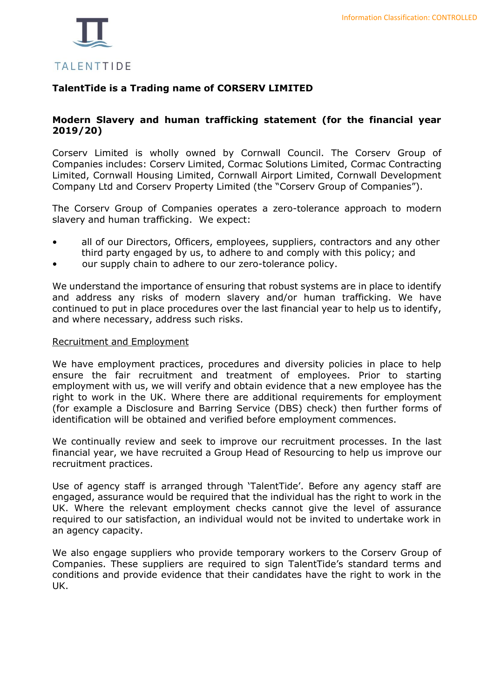

# **TalentTide is a Trading name of CORSERV LIMITED**

## **Modern Slavery and human trafficking statement (for the financial year 2019/20)**

Corserv Limited is wholly owned by Cornwall Council. The Corserv Group of Companies includes: Corserv Limited, Cormac Solutions Limited, Cormac Contracting Limited, Cornwall Housing Limited, Cornwall Airport Limited, Cornwall Development Company Ltd and Corserv Property Limited (the "Corserv Group of Companies").

The Corserv Group of Companies operates a zero-tolerance approach to modern slavery and human trafficking. We expect:

- all of our Directors, Officers, employees, suppliers, contractors and any other third party engaged by us, to adhere to and comply with this policy; and
- our supply chain to adhere to our zero-tolerance policy.

We understand the importance of ensuring that robust systems are in place to identify and address any risks of modern slavery and/or human trafficking. We have continued to put in place procedures over the last financial year to help us to identify, and where necessary, address such risks.

## Recruitment and Employment

We have employment practices, procedures and diversity policies in place to help ensure the fair recruitment and treatment of employees. Prior to starting employment with us, we will verify and obtain evidence that a new employee has the right to work in the UK. Where there are additional requirements for employment (for example a Disclosure and Barring Service (DBS) check) then further forms of identification will be obtained and verified before employment commences.

We continually review and seek to improve our recruitment processes. In the last financial year, we have recruited a Group Head of Resourcing to help us improve our recruitment practices.

Use of agency staff is arranged through 'TalentTide'. Before any agency staff are engaged, assurance would be required that the individual has the right to work in the UK. Where the relevant employment checks cannot give the level of assurance required to our satisfaction, an individual would not be invited to undertake work in an agency capacity.

We also engage suppliers who provide temporary workers to the Corserv Group of Companies. These suppliers are required to sign TalentTide's standard terms and conditions and provide evidence that their candidates have the right to work in the UK.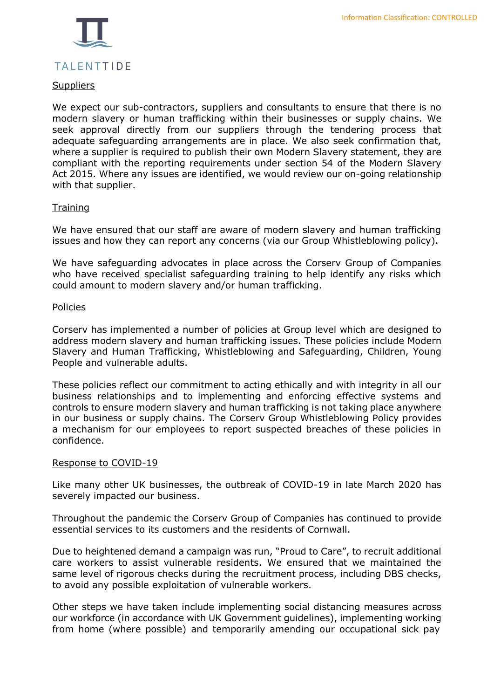

## **Suppliers**

We expect our sub-contractors, suppliers and consultants to ensure that there is no modern slavery or human trafficking within their businesses or supply chains. We seek approval directly from our suppliers through the tendering process that adequate safeguarding arrangements are in place. We also seek confirmation that, where a supplier is required to publish their own Modern Slavery statement, they are compliant with the reporting requirements under section 54 of the Modern Slavery Act 2015. Where any issues are identified, we would review our on-going relationship with that supplier.

## **Training**

We have ensured that our staff are aware of modern slavery and human trafficking issues and how they can report any concerns (via our Group Whistleblowing policy).

We have safeguarding advocates in place across the Corserv Group of Companies who have received specialist safeguarding training to help identify any risks which could amount to modern slavery and/or human trafficking.

#### Policies

Corserv has implemented a number of policies at Group level which are designed to address modern slavery and human trafficking issues. These policies include Modern Slavery and Human Trafficking, Whistleblowing and Safeguarding, Children, Young People and vulnerable adults.

These policies reflect our commitment to acting ethically and with integrity in all our business relationships and to implementing and enforcing effective systems and controls to ensure modern slavery and human trafficking is not taking place anywhere in our business or supply chains. The Corserv Group Whistleblowing Policy provides a mechanism for our employees to report suspected breaches of these policies in confidence.

#### Response to COVID-19

Like many other UK businesses, the outbreak of COVID-19 in late March 2020 has severely impacted our business.

Throughout the pandemic the Corserv Group of Companies has continued to provide essential services to its customers and the residents of Cornwall.

Due to heightened demand a campaign was run, "Proud to Care", to recruit additional care workers to assist vulnerable residents. We ensured that we maintained the same level of rigorous checks during the recruitment process, including DBS checks, to avoid any possible exploitation of vulnerable workers.

Other steps we have taken include implementing social distancing measures across our workforce (in accordance with UK Government guidelines), implementing working from home (where possible) and temporarily amending our occupational sick pay